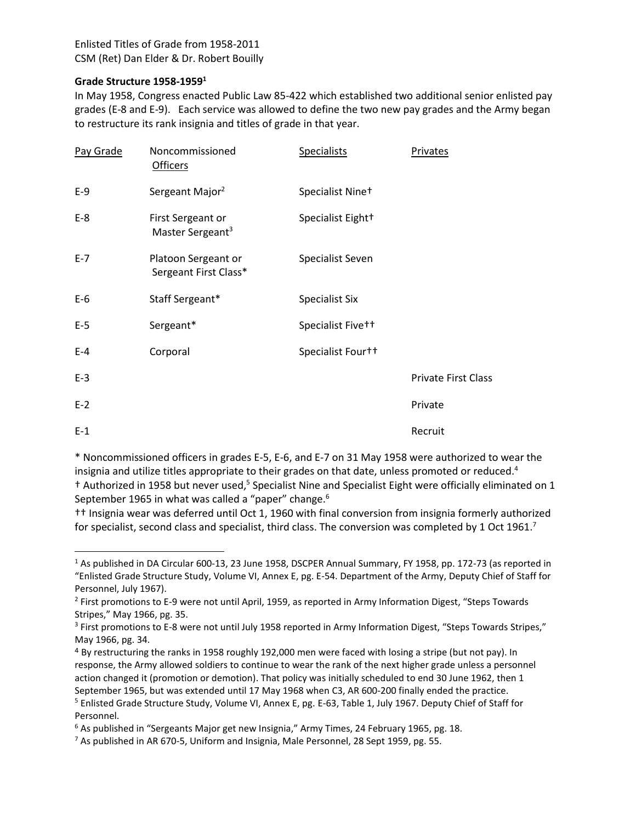## **Grade Structure 1958-1959<sup>1</sup>**

 $\overline{\phantom{a}}$ 

In May 1958, Congress enacted Public Law 85-422 which established two additional senior enlisted pay grades (E-8 and E-9). Each service was allowed to define the two new pay grades and the Army began to restructure its rank insignia and titles of grade in that year.

| Pay Grade | Noncommissioned<br><b>Officers</b>                | Specialists           | Privates                   |
|-----------|---------------------------------------------------|-----------------------|----------------------------|
| $E-9$     | Sergeant Major <sup>2</sup>                       | Specialist Nine+      |                            |
| $E-8$     | First Sergeant or<br>Master Sergeant <sup>3</sup> | Specialist Eight+     |                            |
| $E - 7$   | Platoon Sergeant or<br>Sergeant First Class*      | Specialist Seven      |                            |
| $E-6$     | Staff Sergeant*                                   | <b>Specialist Six</b> |                            |
| $E-5$     | Sergeant*                                         | Specialist Five++     |                            |
| $E-4$     | Corporal                                          | Specialist Fourt+     |                            |
| $E-3$     |                                                   |                       | <b>Private First Class</b> |
| $E-2$     |                                                   |                       | Private                    |
| $E-1$     |                                                   |                       | Recruit                    |

\* Noncommissioned officers in grades E-5, E-6, and E-7 on 31 May 1958 were authorized to wear the insignia and utilize titles appropriate to their grades on that date, unless promoted or reduced.<sup>4</sup> <sup>†</sup> Authorized in 1958 but never used,<sup>5</sup> Specialist Nine and Specialist Eight were officially eliminated on 1 September 1965 in what was called a "paper" change.<sup>6</sup>

†† Insignia wear was deferred until Oct 1, 1960 with final conversion from insignia formerly authorized for specialist, second class and specialist, third class. The conversion was completed by 1 Oct 1961.<sup>7</sup>

<sup>1</sup> As published in DA Circular 600-13, 23 June 1958, DSCPER Annual Summary, FY 1958, pp. 172-73 (as reported in "Enlisted Grade Structure Study, Volume VI, Annex E, pg. E-54. Department of the Army, Deputy Chief of Staff for Personnel, July 1967).

<sup>&</sup>lt;sup>2</sup> First promotions to E-9 were not until April, 1959, as reported in Army Information Digest, "Steps Towards Stripes," May 1966, pg. 35.

<sup>&</sup>lt;sup>3</sup> First promotions to E-8 were not until July 1958 reported in Army Information Digest, "Steps Towards Stripes," May 1966, pg. 34.

<sup>4</sup> By restructuring the ranks in 1958 roughly 192,000 men were faced with losing a stripe (but not pay). In response, the Army allowed soldiers to continue to wear the rank of the next higher grade unless a personnel action changed it (promotion or demotion). That policy was initially scheduled to end 30 June 1962, then 1 September 1965, but was extended until 17 May 1968 when C3, AR 600-200 finally ended the practice. <sup>5</sup> Enlisted Grade Structure Study, Volume VI, Annex E, pg. E-63, Table 1, July 1967. Deputy Chief of Staff for

Personnel.

 $6$  As published in "Sergeants Major get new Insignia," Army Times, 24 February 1965, pg. 18.

<sup>&</sup>lt;sup>7</sup> As published in AR 670-5, Uniform and Insignia, Male Personnel, 28 Sept 1959, pg. 55.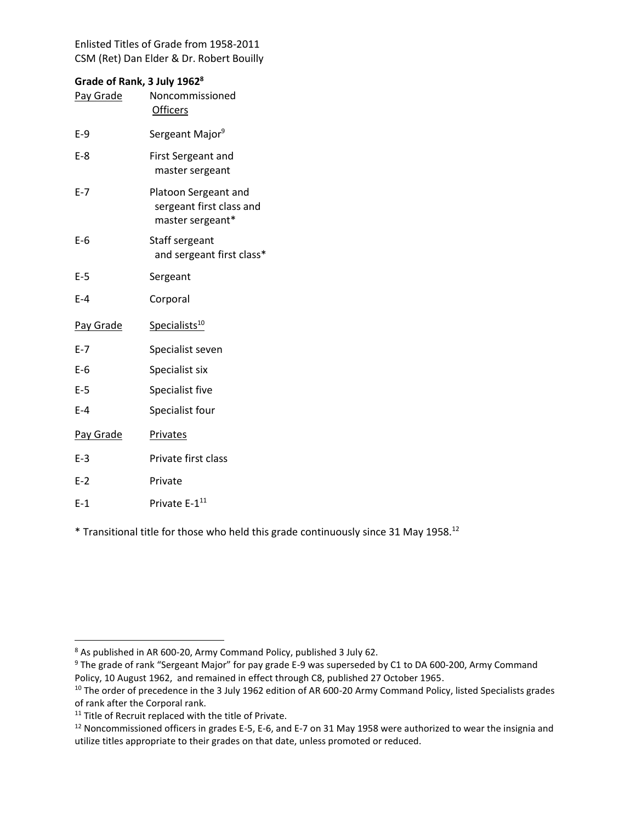# **Grade of Rank, 3 July 1962<sup>8</sup>**

| <b>Pay Grade</b> | Noncommissioned<br><b>Officers</b>                                   |
|------------------|----------------------------------------------------------------------|
| $E-9$            | Sergeant Major <sup>9</sup>                                          |
| E-8              | <b>First Sergeant and</b><br>master sergeant                         |
| $E - 7$          | Platoon Sergeant and<br>sergeant first class and<br>master sergeant* |
| E-6              | Staff sergeant<br>and sergeant first class*                          |
| $E-5$            | Sergeant                                                             |
| $E-4$            | Corporal                                                             |
| Pay Grade        | Specialists <sup>10</sup>                                            |
| $E - 7$          | Specialist seven                                                     |
| $E-6$            | Specialist six                                                       |
| $E-5$            | Specialist five                                                      |
| $E-4$            | Specialist four                                                      |
| Pay Grade        | <b>Privates</b>                                                      |
| $E-3$            | Private first class                                                  |
| $E-2$            | Private                                                              |
| $E-1$            | Private E-1 <sup>11</sup>                                            |

 $*$  Transitional title for those who held this grade continuously since 31 May 1958.<sup>12</sup>

<sup>&</sup>lt;sup>8</sup> As published in AR 600-20, Army Command Policy, published 3 July 62.

<sup>&</sup>lt;sup>9</sup> The grade of rank "Sergeant Major" for pay grade E-9 was superseded by C1 to DA 600-200, Army Command Policy, 10 August 1962, and remained in effect through C8, published 27 October 1965.

<sup>&</sup>lt;sup>10</sup> The order of precedence in the 3 July 1962 edition of AR 600-20 Army Command Policy, listed Specialists grades of rank after the Corporal rank.

<sup>&</sup>lt;sup>11</sup> Title of Recruit replaced with the title of Private.

<sup>&</sup>lt;sup>12</sup> Noncommissioned officers in grades E-5, E-6, and E-7 on 31 May 1958 were authorized to wear the insignia and utilize titles appropriate to their grades on that date, unless promoted or reduced.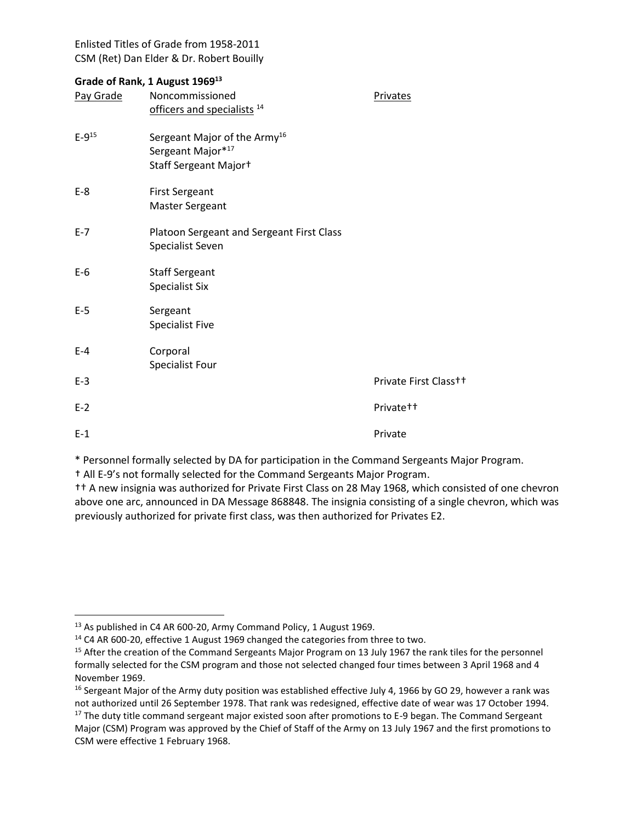## **Grade of Rank, 1 August 1969 13**

| Pay Grade    | $\frac{1}{2}$ and $\frac{1}{2}$ indiffy, $\frac{1}{2}$ ruguest $\frac{1}{2}$<br>Noncommissioned    | Privates              |
|--------------|----------------------------------------------------------------------------------------------------|-----------------------|
|              | officers and specialists <sup>14</sup>                                                             |                       |
| $E - 9^{15}$ | Sergeant Major of the Army <sup>16</sup><br>Sergeant Major*17<br>Staff Sergeant Major <sup>+</sup> |                       |
| $E-8$        | <b>First Sergeant</b><br><b>Master Sergeant</b>                                                    |                       |
| $E - 7$      | Platoon Sergeant and Sergeant First Class<br>Specialist Seven                                      |                       |
| $E-6$        | <b>Staff Sergeant</b><br><b>Specialist Six</b>                                                     |                       |
| $E-5$        | Sergeant<br><b>Specialist Five</b>                                                                 |                       |
| $E-4$        | Corporal<br>Specialist Four                                                                        |                       |
| $E-3$        |                                                                                                    | Private First Class++ |
| $E-2$        |                                                                                                    | Private <sup>++</sup> |
| $E-1$        |                                                                                                    | Private               |
|              |                                                                                                    |                       |

\* Personnel formally selected by DA for participation in the Command Sergeants Major Program.

† All E-9's not formally selected for the Command Sergeants Major Program.

†† A new insignia was authorized for Private First Class on 28 May 1968, which consisted of one chevron above one arc, announced in DA Message 868848. The insignia consisting of a single chevron, which was previously authorized for private first class, was then authorized for Privates E2.

<sup>&</sup>lt;sup>13</sup> As published in C4 AR 600-20, Army Command Policy, 1 August 1969.

<sup>&</sup>lt;sup>14</sup> C4 AR 600-20, effective 1 August 1969 changed the categories from three to two.

<sup>&</sup>lt;sup>15</sup> After the creation of the Command Sergeants Major Program on 13 July 1967 the rank tiles for the personnel formally selected for the CSM program and those not selected changed four times between 3 April 1968 and 4 November 1969.

 $16$  Sergeant Major of the Army duty position was established effective July 4, 1966 by GO 29, however a rank was not authorized until 26 September 1978. That rank was redesigned, effective date of wear was 17 October 1994.

<sup>&</sup>lt;sup>17</sup> The duty title command sergeant major existed soon after promotions to E-9 began. The Command Sergeant Major (CSM) Program was approved by the Chief of Staff of the Army on 13 July 1967 and the first promotions to CSM were effective 1 February 1968.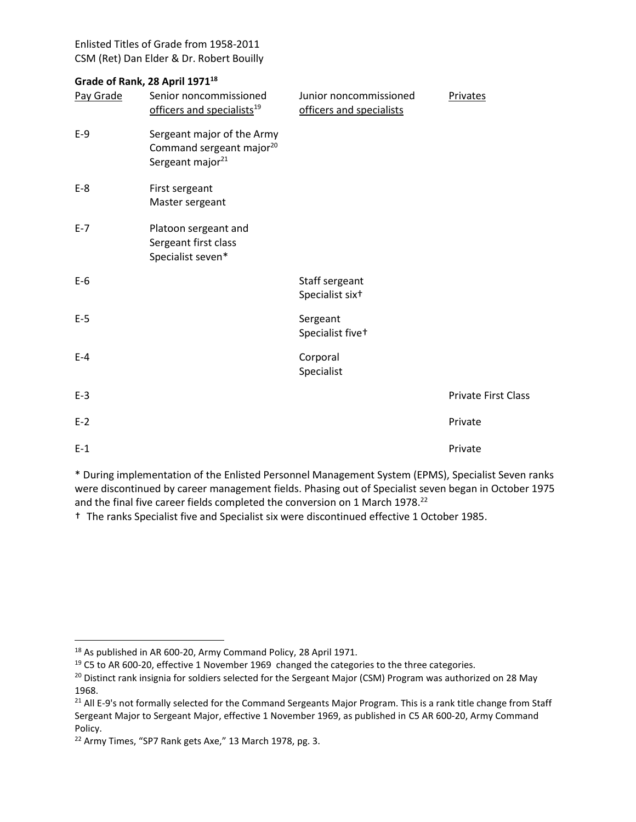## **Grade of Rank, 28 April 1971<sup>18</sup>**

| Pay Grade | Senior noncommissioned<br>officers and specialists <sup>19</sup>                                   | Junior noncommissioned<br>officers and specialists | Privates            |
|-----------|----------------------------------------------------------------------------------------------------|----------------------------------------------------|---------------------|
| $E-9$     | Sergeant major of the Army<br>Command sergeant major <sup>20</sup><br>Sergeant major <sup>21</sup> |                                                    |                     |
| $E-8$     | First sergeant<br>Master sergeant                                                                  |                                                    |                     |
| $E-7$     | Platoon sergeant and<br>Sergeant first class<br>Specialist seven*                                  |                                                    |                     |
| $E-6$     |                                                                                                    | Staff sergeant<br>Specialist six <sup>+</sup>      |                     |
| $E-5$     |                                                                                                    | Sergeant<br>Specialist five+                       |                     |
| $E-4$     |                                                                                                    | Corporal<br>Specialist                             |                     |
| $E-3$     |                                                                                                    |                                                    | Private First Class |
| $E-2$     |                                                                                                    |                                                    | Private             |
| $E-1$     |                                                                                                    |                                                    | Private             |

\* During implementation of the Enlisted Personnel Management System (EPMS), Specialist Seven ranks were discontinued by career management fields. Phasing out of Specialist seven began in October 1975 and the final five career fields completed the conversion on 1 March 1978.<sup>22</sup>

† The ranks Specialist five and Specialist six were discontinued effective 1 October 1985.

<sup>&</sup>lt;sup>18</sup> As published in AR 600-20, Army Command Policy, 28 April 1971.

 $19$  C5 to AR 600-20, effective 1 November 1969 changed the categories to the three categories.

<sup>&</sup>lt;sup>20</sup> Distinct rank insignia for soldiers selected for the Sergeant Major (CSM) Program was authorized on 28 May 1968.

<sup>&</sup>lt;sup>21</sup> All E-9's not formally selected for the Command Sergeants Major Program. This is a rank title change from Staff Sergeant Major to Sergeant Major, effective 1 November 1969, as published in C5 AR 600-20, Army Command Policy.

<sup>&</sup>lt;sup>22</sup> Army Times, "SP7 Rank gets Axe," 13 March 1978, pg. 3.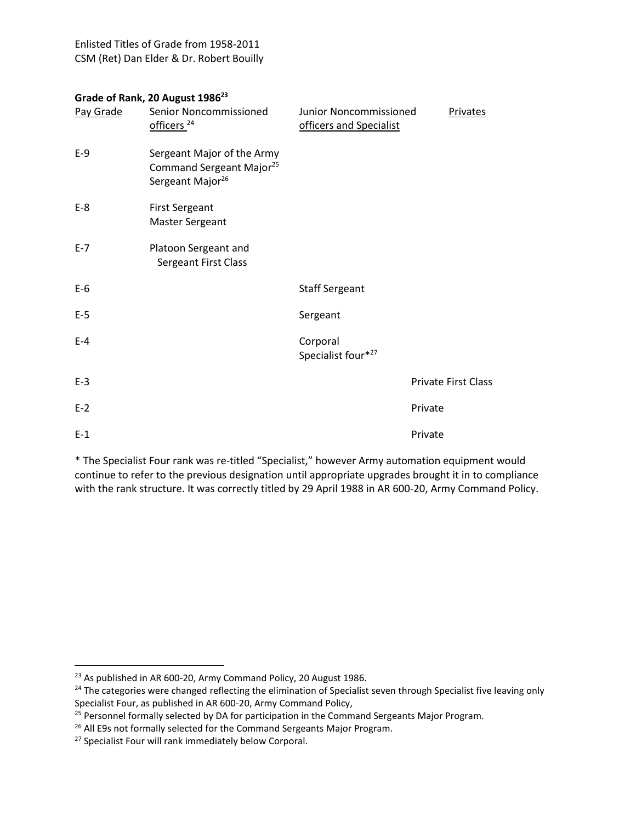## **Grade of Rank, 20 August 1986<sup>23</sup>**

| Pay Grade | Senior Noncommissioned                                                                             | Junior Noncommissioned         | Privates                   |
|-----------|----------------------------------------------------------------------------------------------------|--------------------------------|----------------------------|
|           | officers <sup>24</sup>                                                                             | officers and Specialist        |                            |
| $E-9$     | Sergeant Major of the Army<br>Command Sergeant Major <sup>25</sup><br>Sergeant Major <sup>26</sup> |                                |                            |
| $E-8$     | <b>First Sergeant</b><br><b>Master Sergeant</b>                                                    |                                |                            |
| $E-7$     | Platoon Sergeant and<br>Sergeant First Class                                                       |                                |                            |
| $E-6$     |                                                                                                    | <b>Staff Sergeant</b>          |                            |
| $E-5$     |                                                                                                    | Sergeant                       |                            |
| $E-4$     |                                                                                                    | Corporal<br>Specialist four*27 |                            |
| $E-3$     |                                                                                                    |                                | <b>Private First Class</b> |
| $E-2$     |                                                                                                    |                                | Private                    |
| $E-1$     |                                                                                                    |                                | Private                    |

\* The Specialist Four rank was re-titled "Specialist," however Army automation equipment would continue to refer to the previous designation until appropriate upgrades brought it in to compliance with the rank structure. It was correctly titled by 29 April 1988 in AR 600-20, Army Command Policy.

 $\overline{a}$ 

<sup>&</sup>lt;sup>23</sup> As published in AR 600-20, Army Command Policy, 20 August 1986.

<sup>&</sup>lt;sup>24</sup> The categories were changed reflecting the elimination of Specialist seven through Specialist five leaving only Specialist Four, as published in AR 600-20, Army Command Policy,

<sup>&</sup>lt;sup>25</sup> Personnel formally selected by DA for participation in the Command Sergeants Major Program.

<sup>&</sup>lt;sup>26</sup> All E9s not formally selected for the Command Sergeants Major Program.

<sup>&</sup>lt;sup>27</sup> Specialist Four will rank immediately below Corporal.